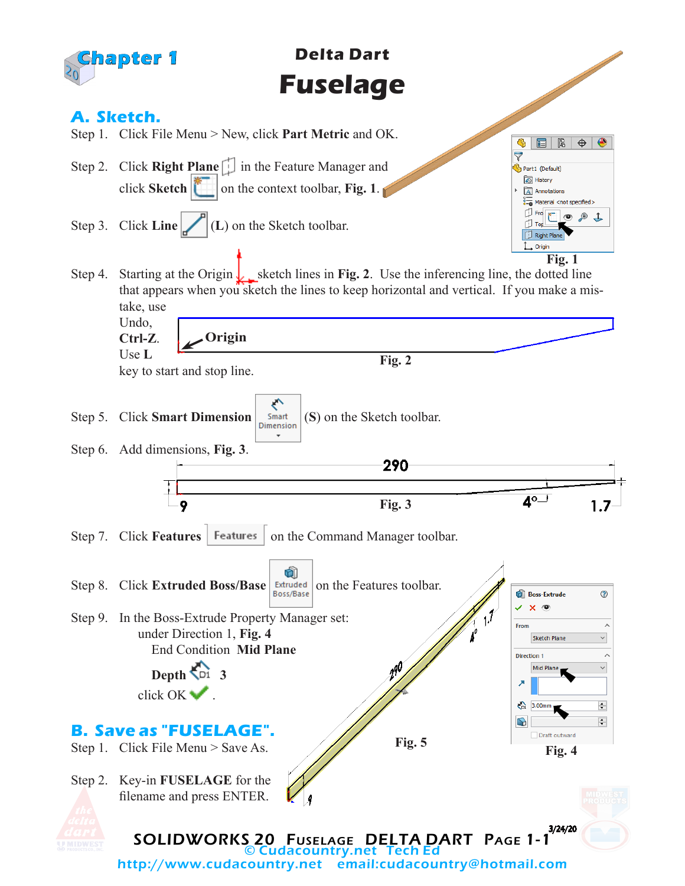